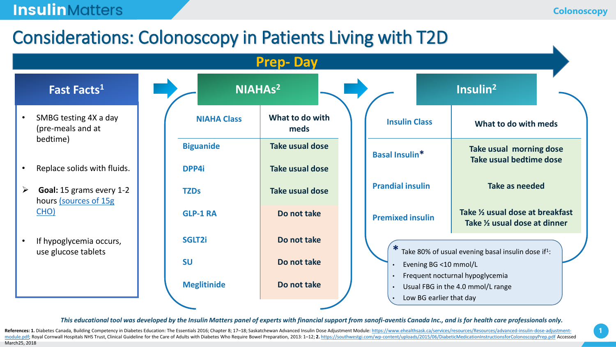### **Insulin** Matters

## Considerations: Colonoscopy in Patients Living with T2D



*This educational tool was developed by the Insulin Matters panel of experts with financial support from sanofi-aventis Canada Inc., and is for health care professionals only.*

References: 1. Diabetes Canada, Building Competency in Diabetes Education: The Essentials 2016; Chapter 8; 17-18; Saskatchewan Advanced Insulin Dose Adjustment Module: https://www.ehealthsask.ca/services/resources/Resource [module.pdf; Royal Cornwall Hospitals NHS Trust, Clinical Guideline for the Care of Adults with Diabetes Who Require Bowel Preparation, 2013: 1](https://www.ehealthsask.ca/services/resources/Resources/advanced-insulin-dose-adjustment-module.pdf)-12; 2. https://southwestgi.com/wp-content/uploads/2015/06/DiabeticMedicationIns March25, 2018

**1**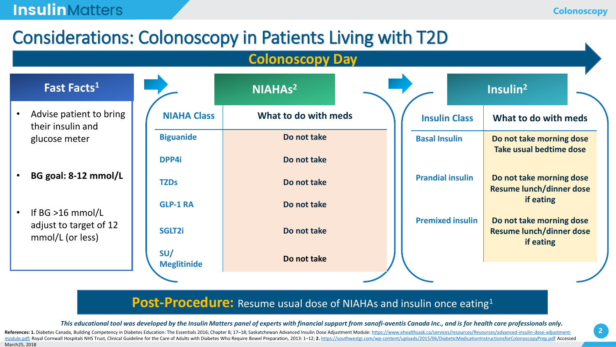### **Insulin** Matters

# Considerations: Colonoscopy in Patients Living with T2D

#### **Colonoscopy Day**



- **BG goal: 8-12 mmol/L**
- If BG >16 mmol/L adjust to target of 12 mmol/L (or less)

|                           | NIAHAs <sup>2</sup>  |  |                         |                         | Insulin <sup>2</sup>                                                     |  |
|---------------------------|----------------------|--|-------------------------|-------------------------|--------------------------------------------------------------------------|--|
| <b>NIAHA Class</b>        | What to do with meds |  |                         | <b>Insulin Class</b>    | What to do with meds                                                     |  |
| <b>Biguanide</b>          | Do not take          |  |                         | <b>Basal Insulin</b>    | Do not take morning dose<br>Take usual bedtime dose                      |  |
| DPP4i                     | Do not take          |  |                         |                         |                                                                          |  |
| <b>TZDs</b>               | Do not take          |  | <b>Prandial insulin</b> |                         | Do not take morning dose<br><b>Resume lunch/dinner dose</b>              |  |
| <b>GLP-1 RA</b>           | Do not take          |  |                         |                         | if eating                                                                |  |
| SGLT2i                    | Do not take          |  |                         | <b>Premixed insulin</b> | Do not take morning dose<br><b>Resume lunch/dinner dose</b><br>if eating |  |
| SU/<br><b>Meglitinide</b> | Do not take          |  |                         |                         |                                                                          |  |
|                           |                      |  |                         |                         |                                                                          |  |

#### **Post-Procedure:** Resume usual dose of NIAHAs and insulin once eating<sup>1</sup>

*This educational tool was developed by the Insulin Matters panel of experts with financial support from sanofi-aventis Canada Inc., and is for health care professionals only.*

References: 1. Diabetes Canada, Building Competency in Diabetes Education: The Essentials 2016; Chapter 8; 17-18; Saskatchewan Advanced Insulin Dose Adjustment Module: https://www.ehealthsask.ca/services/resources/Resource [module.pdf; Royal Cornwall Hospitals NHS Trust, Clinical Guideline for the Care of Adults with Diabetes Who Require Bowel Preparation, 2013: 1](https://www.ehealthsask.ca/services/resources/Resources/advanced-insulin-dose-adjustment-module.pdf)-12; 2. https://southwestgi.com/wp-content/uploads/2015/06/DiabeticMedicationIns March25, 2018

**2**